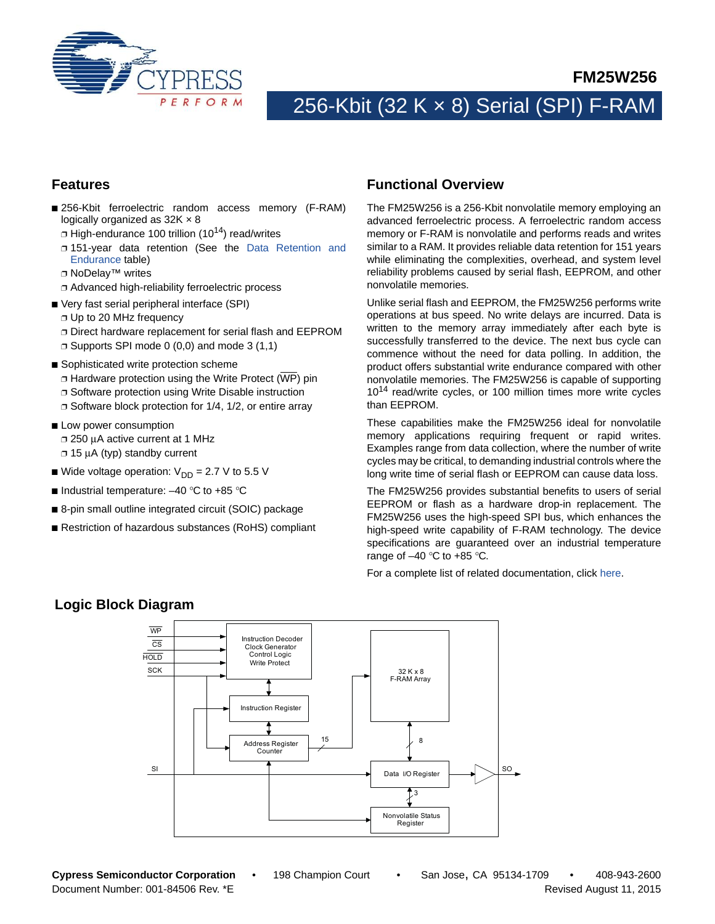

**FM25W256**

# 256-Kbit (32 K × 8) Serial (SPI) F-RAM

### **Features**

- 256-Kbit ferroelectric random access memory (F-RAM) logically organized as 32K  $\times$  8
	- $\Box$  High-endurance 100 trillion (10<sup>14</sup>) read/writes
	- ❐ 151-year data retention (See the [Data Retention and](#page-11-0) [Endurance](#page-11-0) table)
	- ❐ NoDelay™ writes
- ❐ Advanced high-reliability ferroelectric process
- Very fast serial peripheral interface (SPI)
	- ❐ Up to 20 MHz frequency
	- ❐ Direct hardware replacement for serial flash and EEPROM
	- ❐ Supports SPI mode 0 (0,0) and mode 3 (1,1)
- Sophisticated write protection scheme
	- ❐ Hardware protection using the Write Protect (WP) pin
	- ❐ Software protection using Write Disable instruction
	- ❐ Software block protection for 1/4, 1/2, or entire array
- Low power consumption ❐ 250 μA active current at 1 MHz ❐ 15 μA (typ) standby current
- Wide voltage operation:  $V_{DD} = 2.7 V$  to 5.5 V
- Industrial temperature:  $-40$  °C to +85 °C
- 8-pin small outline integrated circuit (SOIC) package
- Restriction of hazardous substances (RoHS) compliant

## **Functional Overview**

The FM25W256 is a 256-Kbit nonvolatile memory employing an advanced ferroelectric process. A ferroelectric random access memory or F-RAM is nonvolatile and performs reads and writes similar to a RAM. It provides reliable data retention for 151 years while eliminating the complexities, overhead, and system level reliability problems caused by serial flash, EEPROM, and other nonvolatile memories.

Unlike serial flash and EEPROM, the FM25W256 performs write operations at bus speed. No write delays are incurred. Data is written to the memory array immediately after each byte is successfully transferred to the device. The next bus cycle can commence without the need for data polling. In addition, the product offers substantial write endurance compared with other nonvolatile memories. The FM25W256 is capable of supporting 10<sup>14</sup> read/write cycles, or 100 million times more write cycles than EEPROM.

These capabilities make the FM25W256 ideal for nonvolatile memory applications requiring frequent or rapid writes. Examples range from data collection, where the number of write cycles may be critical, to demanding industrial controls where the long write time of serial flash or EEPROM can cause data loss.

The FM25W256 provides substantial benefits to users of serial EEPROM or flash as a hardware drop-in replacement. The FM25W256 uses the high-speed SPI bus, which enhances the high-speed write capability of F-RAM technology. The device specifications are guaranteed over an industrial temperature range of  $-40$  °C to  $+85$  °C.

For a complete list of related documentation, click [here](http://www.cypress.com/?rID=73537).



## **Logic Block Diagram**

**Cypress Semiconductor Corporation** • 198 Champion Court • San Jose, CA 95134-1709 • 408-943-2600 Document Number: 001-84506 Rev. \*E Revised August 11, 2015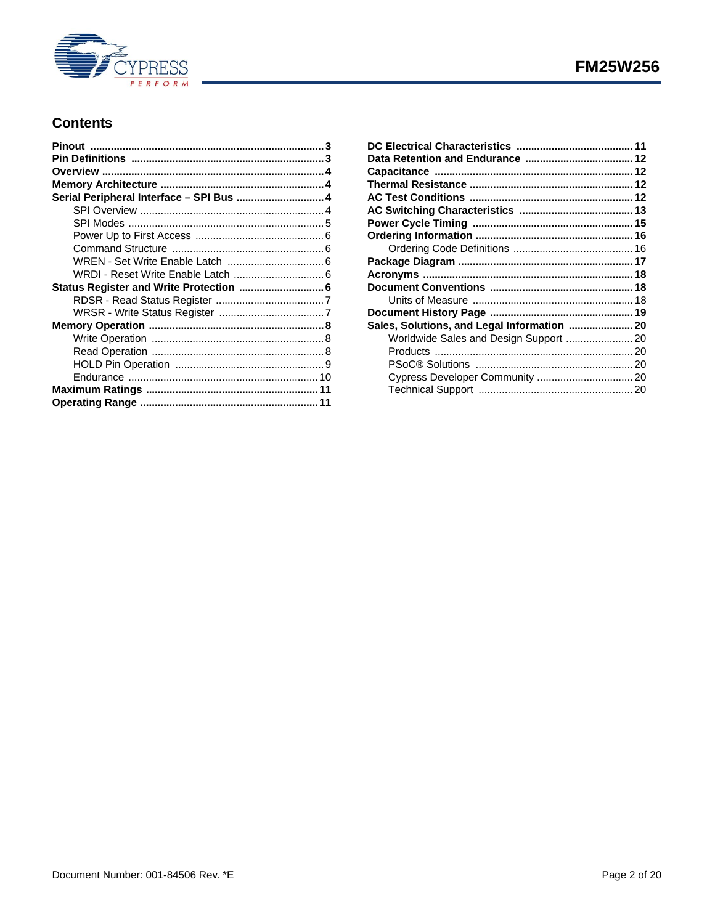

## **Contents**

| Serial Peripheral Interface - SPI Bus  4 |  |
|------------------------------------------|--|
|                                          |  |
|                                          |  |
|                                          |  |
|                                          |  |
|                                          |  |
|                                          |  |
|                                          |  |
|                                          |  |
|                                          |  |
|                                          |  |
|                                          |  |
|                                          |  |
|                                          |  |
|                                          |  |
|                                          |  |
|                                          |  |
|                                          |  |

| Sales, Solutions, and Legal Information  20 |  |
|---------------------------------------------|--|
| Worldwide Sales and Design Support  20      |  |
|                                             |  |
|                                             |  |
|                                             |  |
|                                             |  |
|                                             |  |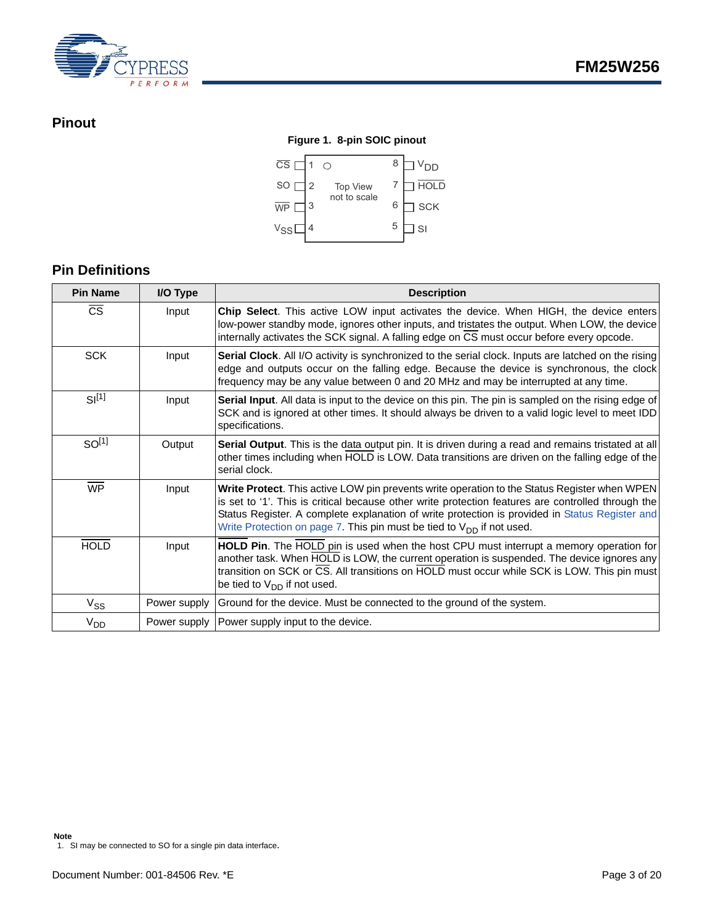

## <span id="page-2-0"></span>**Pinout**

## **Figure 1. 8-pin SOIC pinout**



## <span id="page-2-1"></span>**Pin Definitions**

| <b>Pin Name</b>        | I/O Type     | <b>Description</b>                                                                                                                                                                                                                                                                                                                                                                 |
|------------------------|--------------|------------------------------------------------------------------------------------------------------------------------------------------------------------------------------------------------------------------------------------------------------------------------------------------------------------------------------------------------------------------------------------|
| $\overline{\text{cs}}$ | Input        | Chip Select. This active LOW input activates the device. When HIGH, the device enters<br>low-power standby mode, ignores other inputs, and tristates the output. When LOW, the device<br>internally activates the SCK signal. A falling edge on CS must occur before every opcode.                                                                                                 |
| <b>SCK</b>             | Input        | Serial Clock. All I/O activity is synchronized to the serial clock. Inputs are latched on the rising<br>edge and outputs occur on the falling edge. Because the device is synchronous, the clock<br>frequency may be any value between 0 and 20 MHz and may be interrupted at any time.                                                                                            |
| $SI^{[1]}$             | Input        | Serial Input. All data is input to the device on this pin. The pin is sampled on the rising edge of<br>SCK and is ignored at other times. It should always be driven to a valid logic level to meet IDD<br>specifications.                                                                                                                                                         |
| SO <sup>[1]</sup>      | Output       | Serial Output. This is the data output pin. It is driven during a read and remains tristated at all<br>other times including when HOLD is LOW. Data transitions are driven on the falling edge of the<br>serial clock.                                                                                                                                                             |
| $\overline{\text{WP}}$ | Input        | Write Protect. This active LOW pin prevents write operation to the Status Register when WPEN<br>is set to '1'. This is critical because other write protection features are controlled through the<br>Status Register. A complete explanation of write protection is provided in Status Register and<br>Write Protection on page 7. This pin must be tied to $V_{DD}$ if not used. |
| <b>HOLD</b>            | Input        | HOLD Pin. The HOLD pin is used when the host CPU must interrupt a memory operation for<br>another task. When HOLD is LOW, the current operation is suspended. The device ignores any<br>transition on SCK or CS. All transitions on HOLD must occur while SCK is LOW. This pin must<br>be tied to $V_{DD}$ if not used.                                                            |
| $V_{SS}$               | Power supply | Ground for the device. Must be connected to the ground of the system.                                                                                                                                                                                                                                                                                                              |
| $V_{DD}$               | Power supply | Power supply input to the device.                                                                                                                                                                                                                                                                                                                                                  |

**Note**

<span id="page-2-2"></span><sup>1.</sup> SI may be connected to SO for a single pin data interface.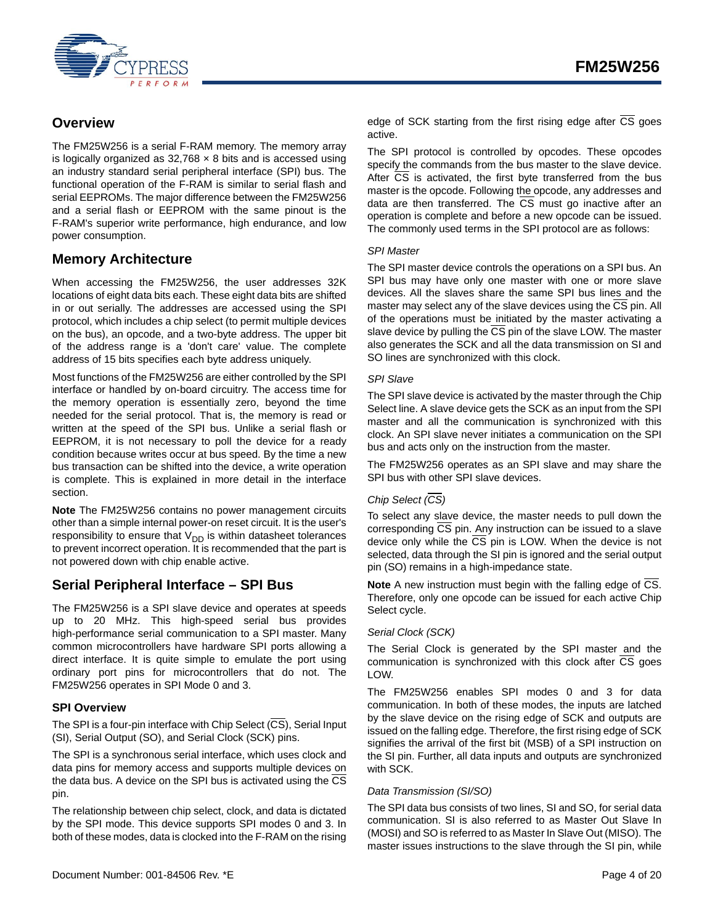

## <span id="page-3-0"></span>**Overview**

The FM25W256 is a serial F-RAM memory. The memory array is logically organized as  $32,768 \times 8$  bits and is accessed using an industry standard serial peripheral interface (SPI) bus. The functional operation of the F-RAM is similar to serial flash and serial EEPROMs. The major difference between the FM25W256 and a serial flash or EEPROM with the same pinout is the F-RAM's superior write performance, high endurance, and low power consumption.

## <span id="page-3-1"></span>**Memory Architecture**

When accessing the FM25W256, the user addresses 32K locations of eight data bits each. These eight data bits are shifted in or out serially. The addresses are accessed using the SPI protocol, which includes a chip select (to permit multiple devices on the bus), an opcode, and a two-byte address. The upper bit of the address range is a 'don't care' value. The complete address of 15 bits specifies each byte address uniquely.

Most functions of the FM25W256 are either controlled by the SPI interface or handled by on-board circuitry. The access time for the memory operation is essentially zero, beyond the time needed for the serial protocol. That is, the memory is read or written at the speed of the SPI bus. Unlike a serial flash or EEPROM, it is not necessary to poll the device for a ready condition because writes occur at bus speed. By the time a new bus transaction can be shifted into the device, a write operation is complete. This is explained in more detail in the interface section.

**Note** The FM25W256 contains no power management circuits other than a simple internal power-on reset circuit. It is the user's responsibility to ensure that  $V_{DD}$  is within datasheet tolerances to prevent incorrect operation. It is recommended that the part is not powered down with chip enable active.

## <span id="page-3-2"></span>**Serial Peripheral Interface – SPI Bus**

The FM25W256 is a SPI slave device and operates at speeds up to 20 MHz. This high-speed serial bus provides high-performance serial communication to a SPI master. Many common microcontrollers have hardware SPI ports allowing a direct interface. It is quite simple to emulate the port using ordinary port pins for microcontrollers that do not. The FM25W256 operates in SPI Mode 0 and 3.

#### <span id="page-3-3"></span>**SPI Overview**

The SPI is a four-pin interface with Chip Select  $(\overline{CS})$ , Serial Input (SI), Serial Output (SO), and Serial Clock (SCK) pins.

The SPI is a synchronous serial interface, which uses clock and data pins for memory access and supports multiple devices on the data bus. A device on the SPI bus is activated using the CS pin.

The relationship between chip select, clock, and data is dictated by the SPI mode. This device supports SPI modes 0 and 3. In both of these modes, data is clocked into the F-RAM on the rising The SPI protocol is controlled by opcodes. These opcodes specify the commands from the bus master to the slave device. After CS is activated, the first byte transferred from the bus master is the opcode. Following the opcode, any addresses and data are then transferred. The CS must go inactive after an operation is complete and before a new opcode can be issued. The commonly used terms in the SPI protocol are as follows:

#### *SPI Master*

The SPI master device controls the operations on a SPI bus. An SPI bus may have only one master with one or more slave devices. All the slaves share the same SPI bus lines and the master may select any of the slave devices using the CS pin. All of the operations must be initiated by the master activating a slave device by pulling the CS pin of the slave LOW. The master also generates the SCK and all the data transmission on SI and SO lines are synchronized with this clock.

#### *SPI Slave*

The SPI slave device is activated by the master through the Chip Select line. A slave device gets the SCK as an input from the SPI master and all the communication is synchronized with this clock. An SPI slave never initiates a communication on the SPI bus and acts only on the instruction from the master.

The FM25W256 operates as an SPI slave and may share the SPI bus with other SPI slave devices.

#### *Chip Select (CS)*

To select any slave device, the master needs to pull down the corresponding CS pin. Any instruction can be issued to a slave device only while the  $\overline{CS}$  pin is LOW. When the device is not selected, data through the SI pin is ignored and the serial output pin (SO) remains in a high-impedance state.

**Note** A new instruction must begin with the falling edge of CS. Therefore, only one opcode can be issued for each active Chip Select cycle.

#### *Serial Clock (SCK)*

The Serial Clock is generated by the SPI master and the communication is synchronized with this clock after CS goes LOW.

The FM25W256 enables SPI modes 0 and 3 for data communication. In both of these modes, the inputs are latched by the slave device on the rising edge of SCK and outputs are issued on the falling edge. Therefore, the first rising edge of SCK signifies the arrival of the first bit (MSB) of a SPI instruction on the SI pin. Further, all data inputs and outputs are synchronized with SCK.

#### *Data Transmission (SI/SO)*

The SPI data bus consists of two lines, SI and SO, for serial data communication. SI is also referred to as Master Out Slave In (MOSI) and SO is referred to as Master In Slave Out (MISO). The master issues instructions to the slave through the SI pin, while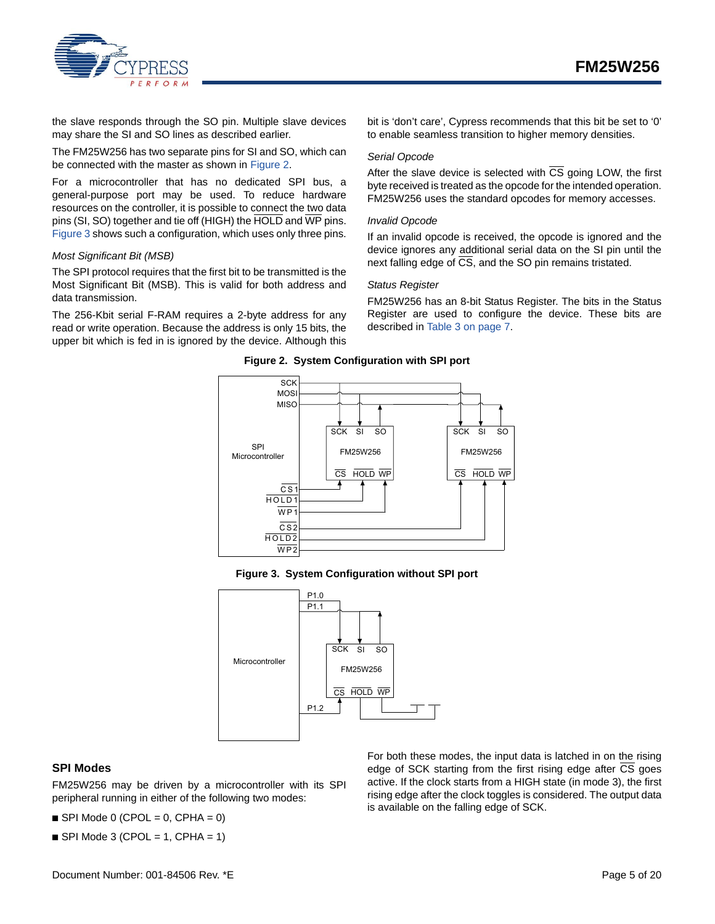

the slave responds through the SO pin. Multiple slave devices may share the SI and SO lines as described earlier.

The FM25W256 has two separate pins for SI and SO, which can be connected with the master as shown in [Figure 2.](#page-4-1)

For a microcontroller that has no dedicated SPI bus, a general-purpose port may be used. To reduce hardware resources on the controller, it is possible to connect the two data pins (SI, SO) together and tie off (HIGH) the HOLD and WP pins. [Figure 3](#page-4-2) shows such a configuration, which uses only three pins.

#### *Most Significant Bit (MSB)*

The SPI protocol requires that the first bit to be transmitted is the Most Significant Bit (MSB). This is valid for both address and data transmission.

<span id="page-4-1"></span>The 256-Kbit serial F-RAM requires a 2-byte address for any read or write operation. Because the address is only 15 bits, the upper bit which is fed in is ignored by the device. Although this

bit is 'don't care', Cypress recommends that this bit be set to '0' to enable seamless transition to higher memory densities.

#### *Serial Opcode*

After the slave device is selected with  $\overline{CS}$  going LOW, the first byte received is treated as the opcode for the intended operation. FM25W256 uses the standard opcodes for memory accesses.

#### *Invalid Opcode*

If an invalid opcode is received, the opcode is ignored and the device ignores any additional serial data on the SI pin until the next falling edge of CS, and the SO pin remains tristated.

#### *Status Register*

FM25W256 has an 8-bit Status Register. The bits in the Status Register are used to configure the device. These bits are described in [Table 3 on page 7.](#page-6-3)





**Figure 3. System Configuration without SPI port**

<span id="page-4-2"></span>

#### <span id="page-4-0"></span>**SPI Modes**

FM25W256 may be driven by a microcontroller with its SPI peripheral running in either of the following two modes:

 $\blacksquare$  SPI Mode 0 (CPOL = 0, CPHA = 0)

 $\blacksquare$  SPI Mode 3 (CPOL = 1, CPHA = 1)

For both these modes, the input data is latched in on the rising edge of SCK starting from the first rising edge after  $\overline{\text{CS}}$  goes active. If the clock starts from a HIGH state (in mode 3), the first rising edge after the clock toggles is considered. The output data is available on the falling edge of SCK.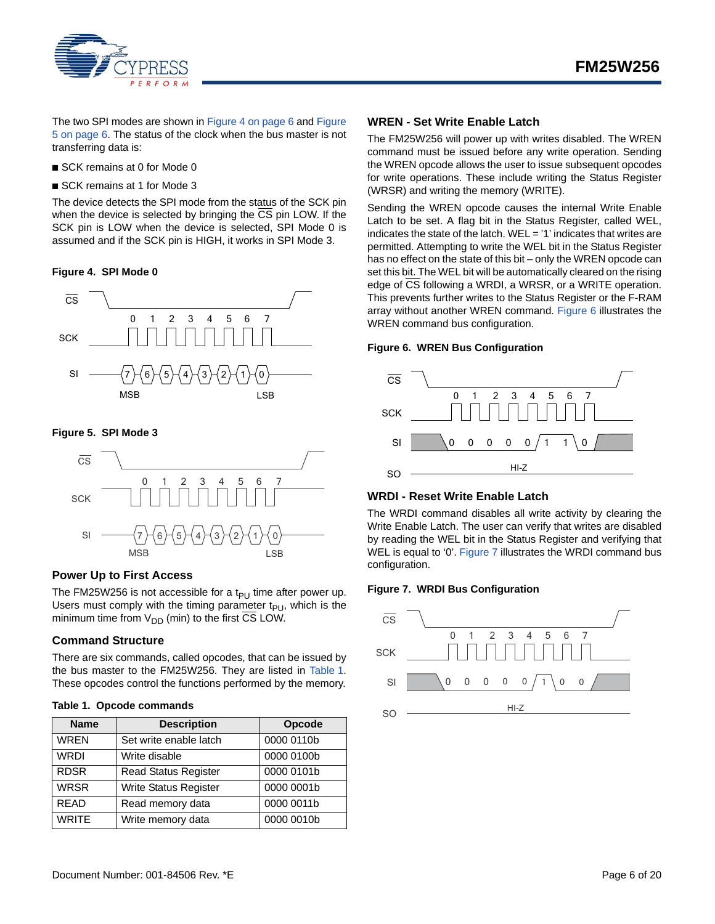

The two SPI modes are shown in [Figure 4 on page 6](#page-5-4) and [Figure](#page-5-5) [5 on page 6](#page-5-5). The status of the clock when the bus master is not transferring data is:

- SCK remains at 0 for Mode 0
- SCK remains at 1 for Mode 3

The device detects the SPI mode from the status of the SCK pin when the device is selected by bringing the CS pin LOW. If the SCK pin is LOW when the device is selected, SPI Mode 0 is assumed and if the SCK pin is HIGH, it works in SPI Mode 3.

#### <span id="page-5-4"></span>**Figure 4. SPI Mode 0**



#### <span id="page-5-5"></span>**Figure 5. SPI Mode 3**



#### <span id="page-5-0"></span>**Power Up to First Access**

The FM25W256 is not accessible for a t<sub>PU</sub> time after power up. Users must comply with the timing parameter  $t_{PI}$ , which is the minimum time from  $V_{DD}$  (min) to the first CS LOW.

#### <span id="page-5-1"></span>**Command Structure**

There are six commands, called opcodes, that can be issued by the bus master to the FM25W256. They are listed in Table 1. These opcodes control the functions performed by the memory.

#### **Table 1. Opcode commands**

| <b>Name</b>  | <b>Description</b>           | Opcode     |
|--------------|------------------------------|------------|
| <b>WREN</b>  | Set write enable latch       | 0000 0110b |
| <b>WRDI</b>  | Write disable                | 0000 0100b |
| <b>RDSR</b>  | <b>Read Status Register</b>  | 0000 0101b |
| <b>WRSR</b>  | <b>Write Status Register</b> | 0000 0001b |
| <b>READ</b>  | Read memory data             | 0000 0011b |
| <b>WRITE</b> | Write memory data            | 0000 0010b |

#### <span id="page-5-2"></span>**WREN - Set Write Enable Latch**

The FM25W256 will power up with writes disabled. The WREN command must be issued before any write operation. Sending the WREN opcode allows the user to issue subsequent opcodes for write operations. These include writing the Status Register (WRSR) and writing the memory (WRITE).

Sending the WREN opcode causes the internal Write Enable Latch to be set. A flag bit in the Status Register, called WEL, indicates the state of the latch. WEL = '1' indicates that writes are permitted. Attempting to write the WEL bit in the Status Register has no effect on the state of this bit – only the WREN opcode can set this bit. The WEL bit will be automatically cleared on the rising edge of CS following a WRDI, a WRSR, or a WRITE operation. This prevents further writes to the Status Register or the F-RAM array without another WREN command. [Figure 6](#page-5-6) illustrates the WREN command bus configuration.

#### <span id="page-5-6"></span>**Figure 6. WREN Bus Configuration**



#### <span id="page-5-3"></span>**WRDI - Reset Write Enable Latch**

The WRDI command disables all write activity by clearing the Write Enable Latch. The user can verify that writes are disabled by reading the WEL bit in the Status Register and verifying that WEL is equal to '0'. [Figure 7](#page-5-7) illustrates the WRDI command bus configuration.

#### <span id="page-5-7"></span>**Figure 7. WRDI Bus Configuration**

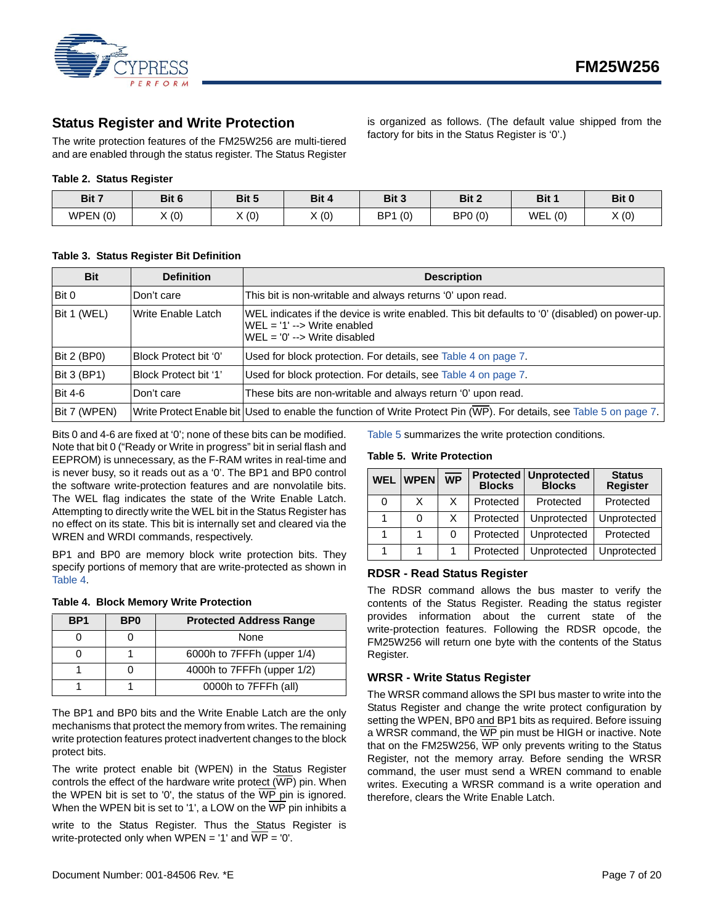

## <span id="page-6-0"></span>**Status Register and Write Protection**

The write protection features of the FM25W256 are multi-tiered and are enabled through the status register. The Status Register

#### **Table 2. Status Register**

| Bit 7   | Bit 6 | Bit 5 | Bit 4 | Bit 3                  | Bit 2   | Bit 1      | Bit 0 |
|---------|-------|-------|-------|------------------------|---------|------------|-------|
| WPEN(0) | X(0)  | X(0)  | X(0)  | BP <sub>1</sub><br>(0) | BP0 (0) | WEL<br>(0) | X(0)  |

#### <span id="page-6-3"></span>**Table 3. Status Register Bit Definition**

| <b>Bit</b>         | <b>Definition</b>     | <b>Description</b>                                                                                                                                                       |
|--------------------|-----------------------|--------------------------------------------------------------------------------------------------------------------------------------------------------------------------|
| Bit 0              | Don't care            | This bit is non-writable and always returns '0' upon read.                                                                                                               |
| Bit 1 (WEL)        | Write Enable Latch    | WEL indicates if the device is write enabled. This bit defaults to '0' (disabled) on power-up.<br>$WEL = '1' --$ Write enabled<br>$WEL = '0' \rightarrow Write$ disabled |
| Bit 2 (BP0)        | Block Protect bit '0' | Used for block protection. For details, see Table 4 on page 7.                                                                                                           |
| <b>Bit 3 (BP1)</b> | Block Protect bit '1' | Used for block protection. For details, see Table 4 on page 7.                                                                                                           |
| <b>Bit 4-6</b>     | Don't care            | These bits are non-writable and always return '0' upon read.                                                                                                             |
| Bit 7 (WPEN)       |                       | Write Protect Enable bit Used to enable the function of Write Protect Pin (WP). For details, see Table 5 on page 7.                                                      |

Bits 0 and 4-6 are fixed at '0'; none of these bits can be modified. Note that bit 0 ("Ready or Write in progress" bit in serial flash and EEPROM) is unnecessary, as the F-RAM writes in real-time and is never busy, so it reads out as a '0'. The BP1 and BP0 control the software write-protection features and are nonvolatile bits. The WEL flag indicates the state of the Write Enable Latch. Attempting to directly write the WEL bit in the Status Register has no effect on its state. This bit is internally set and cleared via the WREN and WRDI commands, respectively.

BP1 and BP0 are memory block write protection bits. They specify portions of memory that are write-protected as shown in Table 4.

<span id="page-6-5"></span>

|  |  |  |  | <b>Table 4. Block Memory Write Protection</b> |
|--|--|--|--|-----------------------------------------------|
|--|--|--|--|-----------------------------------------------|

| BP <sub>1</sub> | B <sub>P0</sub> | <b>Protected Address Range</b> |  |
|-----------------|-----------------|--------------------------------|--|
|                 |                 | None                           |  |
|                 |                 | 6000h to 7FFFh (upper 1/4)     |  |
|                 |                 | 4000h to 7FFFh (upper 1/2)     |  |
|                 |                 | 0000h to 7FFFh (all)           |  |

The BP1 and BP0 bits and the Write Enable Latch are the only mechanisms that protect the memory from writes. The remaining write protection features protect inadvertent changes to the block protect bits.

The write protect enable bit (WPEN) in the Status Register controls the effect of the hardware write protect  $(\overline{WP})$  pin. When the WPEN bit is set to '0', the status of the  $\overline{\text{WP}}$  pin is ignored. When the WPEN bit is set to '1', a LOW on the  $\overline{\text{WP}}$  pin inhibits a

write to the Status Register. Thus the Status Register is write-protected only when  $WPEN = '1'$  and  $WP = '0'.$ 

[Table 5](#page-6-4) summarizes the write protection conditions.

#### <span id="page-6-4"></span>**Table 5. Write Protection**

| <b>WEL</b> | <b>WPEN</b> | $\overline{\mathsf{WP}}$ | <b>Blocks</b> | <b>Protected   Unprotected</b><br><b>Blocks</b> | <b>Status</b><br><b>Register</b> |
|------------|-------------|--------------------------|---------------|-------------------------------------------------|----------------------------------|
| 0          | x           | X                        | Protected     | Protected                                       | Protected                        |
|            | 0           | X                        | Protected     | Unprotected                                     | Unprotected                      |
|            |             |                          | Protected     | Unprotected                                     | Protected                        |
|            |             |                          | Protected     | Unprotected                                     | Unprotected                      |

is organized as follows. (The default value shipped from the

factory for bits in the Status Register is '0'.)

#### <span id="page-6-1"></span>**RDSR - Read Status Register**

The RDSR command allows the bus master to verify the contents of the Status Register. Reading the status register provides information about the current state of the write-protection features. Following the RDSR opcode, the FM25W256 will return one byte with the contents of the Status Register.

#### <span id="page-6-2"></span>**WRSR - Write Status Register**

The WRSR command allows the SPI bus master to write into the Status Register and change the write protect configuration by setting the WPEN, BP0 and BP1 bits as required. Before issuing a WRSR command, the WP pin must be HIGH or inactive. Note that on the FM25W256, WP only prevents writing to the Status Register, not the memory array. Before sending the WRSR command, the user must send a WREN command to enable writes. Executing a WRSR command is a write operation and therefore, clears the Write Enable Latch.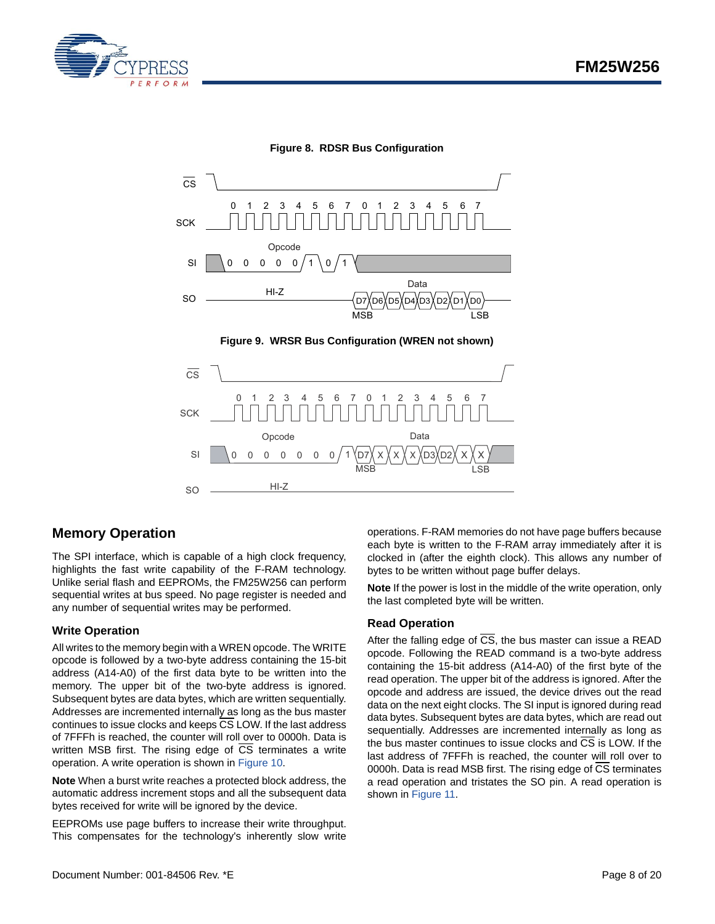



**Figure 8. RDSR Bus Configuration**

 $\overline{\text{cs}}$ SCK SO 01 23 4567  $SI$   $0$  0 0 0 0 0 0/1 MSB LSB D7)( X )( X )( X )( D3)(D2 HI-Z 012345 67 Opcode Data X X X X X

## <span id="page-7-0"></span>**Memory Operation**

The SPI interface, which is capable of a high clock frequency, highlights the fast write capability of the F-RAM technology. Unlike serial flash and EEPROMs, the FM25W256 can perform sequential writes at bus speed. No page register is needed and any number of sequential writes may be performed.

#### <span id="page-7-1"></span>**Write Operation**

All writes to the memory begin with a WREN opcode. The WRITE opcode is followed by a two-byte address containing the 15-bit address (A14-A0) of the first data byte to be written into the memory. The upper bit of the two-byte address is ignored. Subsequent bytes are data bytes, which are written sequentially. Addresses are incremented internally as long as the bus master continues to issue clocks and keeps  $\overline{CS}$  LOW. If the last address of 7FFFh is reached, the counter will roll over to 0000h. Data is written MSB first. The rising edge of  $\overline{CS}$  terminates a write operation. A write operation is shown in [Figure 10](#page-8-1).

**Note** When a burst write reaches a protected block address, the automatic address increment stops and all the subsequent data bytes received for write will be ignored by the device.

EEPROMs use page buffers to increase their write throughput. This compensates for the technology's inherently slow write operations. F-RAM memories do not have page buffers because each byte is written to the F-RAM array immediately after it is clocked in (after the eighth clock). This allows any number of bytes to be written without page buffer delays.

**Note** If the power is lost in the middle of the write operation, only the last completed byte will be written.

#### <span id="page-7-2"></span>**Read Operation**

After the falling edge of  $\overline{CS}$ , the bus master can issue a READ opcode. Following the READ command is a two-byte address containing the 15-bit address (A14-A0) of the first byte of the read operation. The upper bit of the address is ignored. After the opcode and address are issued, the device drives out the read data on the next eight clocks. The SI input is ignored during read data bytes. Subsequent bytes are data bytes, which are read out sequentially. Addresses are incremented internally as long as the bus master continues to issue clocks and  $\overline{\text{CS}}$  is LOW. If the last address of 7FFFh is reached, the counter will roll over to 0000h. Data is read MSB first. The rising edge of CS terminates a read operation and tristates the SO pin. A read operation is shown in [Figure 11](#page-8-2).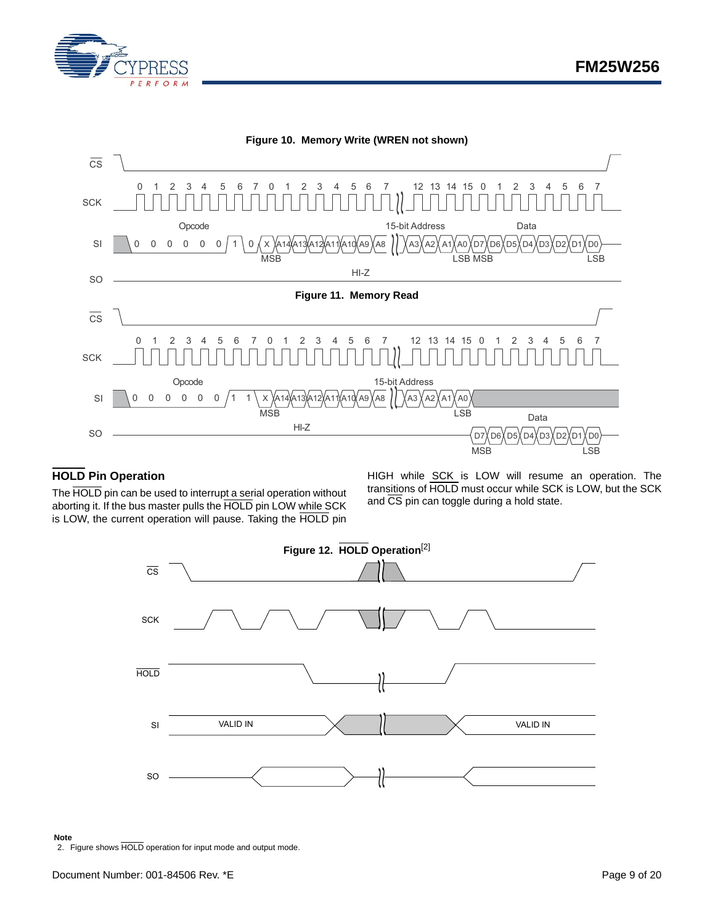

<span id="page-8-2"></span><span id="page-8-1"></span>

## <span id="page-8-0"></span>**HOLD Pin Operation**

The HOLD pin can be used to interrupt a serial operation without aborting it. If the bus master pulls the HOLD pin LOW while SCK is LOW, the current operation will pause. Taking the HOLD pin

HIGH while SCK is LOW will resume an operation. The transitions of HOLD must occur while SCK is LOW, but the SCK and  $\overline{\text{CS}}$  pin can toggle during a hold state.



#### **Note**

<span id="page-8-3"></span>2. Figure shows HOLD operation for input mode and output mode.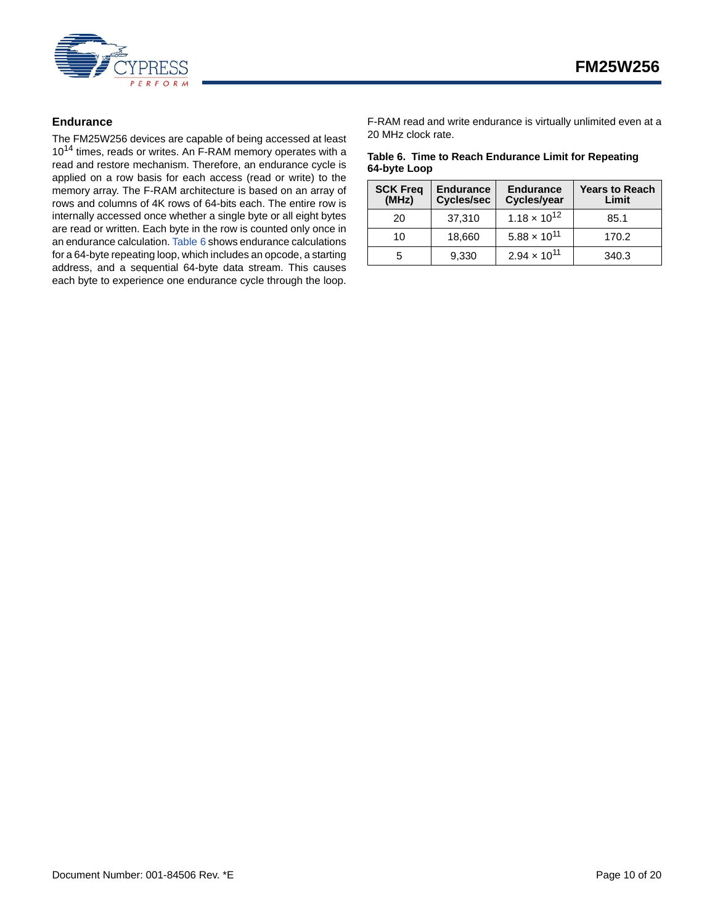

#### <span id="page-9-0"></span>**Endurance**

The FM25W256 devices are capable of being accessed at least 10<sup>14</sup> times, reads or writes. An F-RAM memory operates with a read and restore mechanism. Therefore, an endurance cycle is applied on a row basis for each access (read or write) to the memory array. The F-RAM architecture is based on an array of rows and columns of 4K rows of 64-bits each. The entire row is internally accessed once whether a single byte or all eight bytes are read or written. Each byte in the row is counted only once in an endurance calculation. [Table 6](#page-9-1) shows endurance calculations for a 64-byte repeating loop, which includes an opcode, a starting address, and a sequential 64-byte data stream. This causes each byte to experience one endurance cycle through the loop.

F-RAM read and write endurance is virtually unlimited even at a 20 MHz clock rate.

#### <span id="page-9-1"></span>**Table 6. Time to Reach Endurance Limit for Repeating 64-byte Loop**

| <b>SCK Freq</b><br>(MHz) | <b>Endurance</b><br><b>Cycles/sec</b> | <b>Endurance</b><br>Cycles/year | <b>Years to Reach</b><br>Limit |
|--------------------------|---------------------------------------|---------------------------------|--------------------------------|
| 20                       | 37,310                                | $1.18 \times 10^{12}$           | 85.1                           |
| 10                       | 18,660                                | $5.88 \times 10^{11}$           | 170.2                          |
| 5                        | 9,330                                 | $2.94 \times 10^{11}$           | 340.3                          |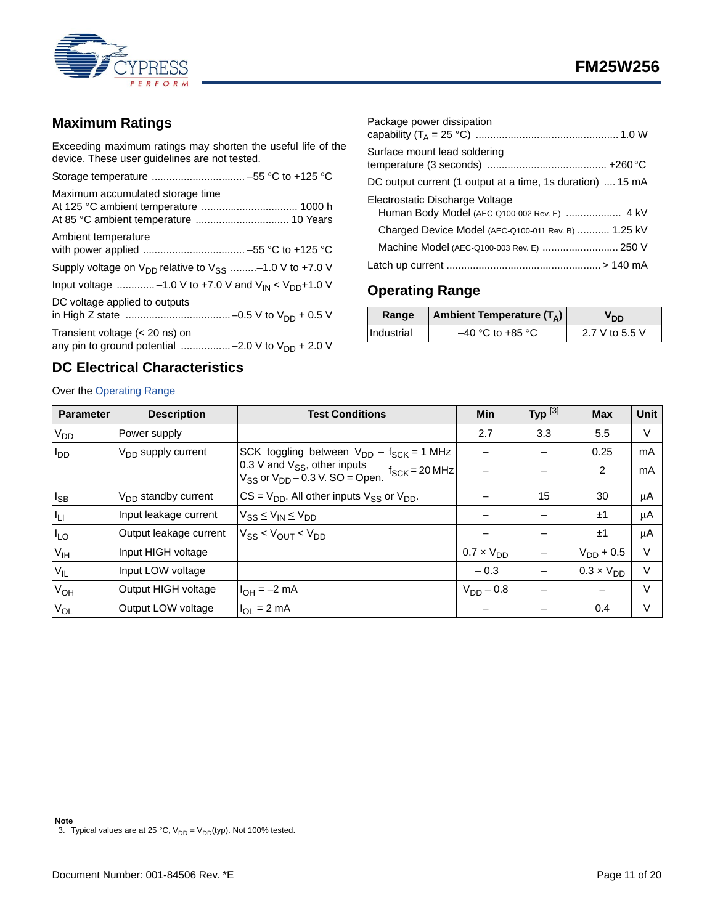

## <span id="page-10-0"></span>**Maximum Ratings**

Exceeding maximum ratings may shorten the useful life of the device. These user guidelines are not tested.

| Maximum accumulated storage time                                                         |
|------------------------------------------------------------------------------------------|
| Ambient temperature                                                                      |
| Supply voltage on $V_{DD}$ relative to $V_{SS}$ -1.0 V to +7.0 V                         |
| Input voltage -1.0 V to +7.0 V and $V_{IN}$ < $V_{DD}$ +1.0 V                            |
| DC voltage applied to outputs                                                            |
| Transient voltage (< 20 ns) on<br>any pin to ground potential -2.0 V to $V_{DD}$ + 2.0 V |

## <span id="page-10-2"></span>**DC Electrical Characteristics**

#### Over the [Operating Range](#page-10-1)

| Package power dissipation                                  |
|------------------------------------------------------------|
| Surface mount lead soldering                               |
| DC output current (1 output at a time, 1s duration)  15 mA |
| Electrostatic Discharge Voltage                            |
| Charged Device Model (AEC-Q100-011 Rev. B)  1.25 kV        |
| Machine Model (AEC-Q100-003 Rev. E)  250 V                 |
|                                                            |

## <span id="page-10-1"></span>**Operating Range**

| Range      | <b>Ambient Temperature (TA)</b> | חחי            |
|------------|---------------------------------|----------------|
| Industrial | –40 °C to +85 °C                | 2.7 V to 5.5 V |

| <b>Parameter</b>       | <b>Description</b>              |                                                                               | <b>Test Conditions</b>                                                                    |                | Typ $^{[3]}$ | <b>Max</b>          | <b>Unit</b> |
|------------------------|---------------------------------|-------------------------------------------------------------------------------|-------------------------------------------------------------------------------------------|----------------|--------------|---------------------|-------------|
| V <sub>DD</sub>        | Power supply                    |                                                                               |                                                                                           | 2.7            | 3.3          | 5.5                 | $\vee$      |
| <b>I</b> <sub>DD</sub> | V <sub>DD</sub> supply current  | SCK toggling between $V_{DD} - f_{SCK} = 1$ MHz                               |                                                                                           |                |              | 0.25                | mA          |
|                        |                                 | 0.3 V and $V_{SS}$ , other inputs<br>$V_{SS}$ or $V_{DD}$ – 0.3 V. SO = Open. | $f_{SCK} = 20 MHz$                                                                        |                |              | 2                   | mA          |
| $I_{SB}$               | V <sub>DD</sub> standby current |                                                                               | $\overline{CS}$ = V <sub>DD</sub> . All other inputs V <sub>SS</sub> or V <sub>DD</sub> . |                | 15           | 30                  | μA          |
| $I_{L1}$               | Input leakage current           | $V_{SS} \leq V_{IN} \leq V_{DD}$                                              |                                                                                           |                |              | ±1                  | μA          |
| $I_{LO}$               | Output leakage current          | $V_{SS} \leq V_{OUT} \leq V_{DD}$                                             |                                                                                           |                |              | ±1                  | μA          |
| V <sub>IH</sub>        | Input HIGH voltage              |                                                                               | $0.7 \times V_{DD}$                                                                       |                |              | $V_{DD}$ + 0.5      | $\vee$      |
| $V_{IL}$               | Input LOW voltage               |                                                                               |                                                                                           | $-0.3$         |              | $0.3 \times V_{DD}$ | $\vee$      |
| V <sub>OH</sub>        | Output HIGH voltage             | $1_{OH} = -2$ mA                                                              |                                                                                           | $V_{DD} - 0.8$ |              |                     | $\vee$      |
| $V_{OL}$               | Output LOW voltage              | $I_{OL}$ = 2 mA                                                               |                                                                                           |                |              | 0.4                 | $\vee$      |

<span id="page-10-3"></span>**Note**<br>3. Typical values are at 25 °C, V<sub>DD</sub> = V<sub>DD</sub>(typ). Not 100% tested.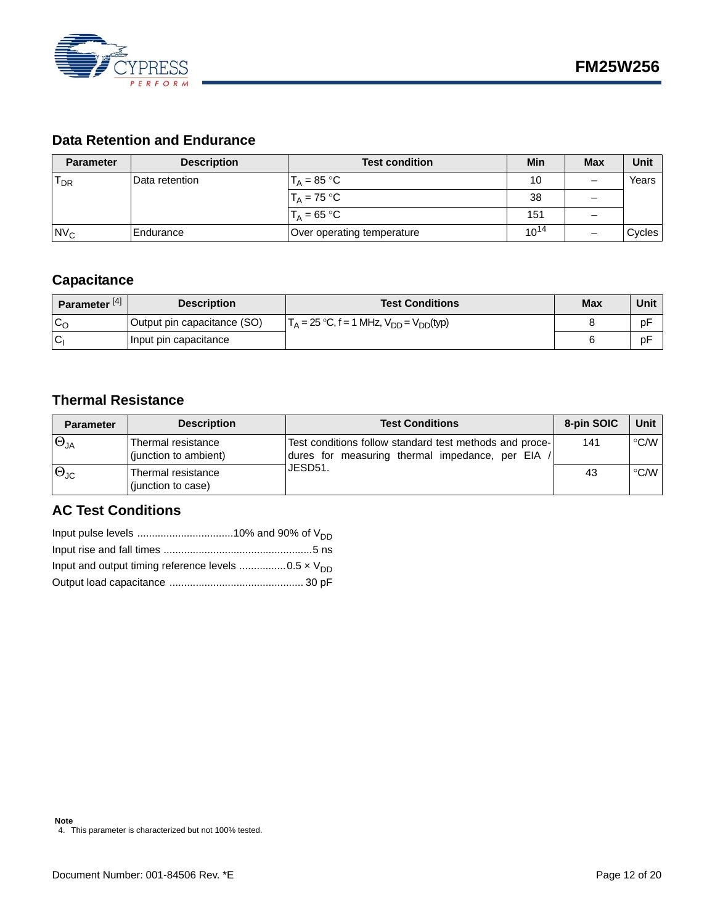

## <span id="page-11-0"></span>**Data Retention and Endurance**

| <b>Parameter</b> | <b>Description</b> | <b>Test condition</b>      | <b>Min</b> | <b>Max</b> | Unit   |
|------------------|--------------------|----------------------------|------------|------------|--------|
| $T_{DR}$         | lData retention    | $T_A = 85 °C$              | 10         |            | Years  |
|                  |                    | $T_A = 75 °C$              | 38         |            |        |
|                  |                    | $T_A = 65 °C$              | 151        | _          |        |
| $Nv_c$           | Endurance          | Over operating temperature | $10^{14}$  |            | Cycles |

## <span id="page-11-1"></span>**Capacitance**

| Parameter <sup>[4]</sup> | <b>Description</b>          | <b>Test Conditions</b>                           | <b>Max</b> | Unit |
|--------------------------|-----------------------------|--------------------------------------------------|------------|------|
| $C_{C}$                  | Output pin capacitance (SO) | $T_A = 25$ °C, f = 1 MHz, $V_{DD} = V_{DD}(typ)$ |            | pF   |
| IC.                      | Input pin capacitance       |                                                  |            | pF   |

## <span id="page-11-2"></span>**Thermal Resistance**

| <b>Parameter</b>     | <b>Description</b>                          | <b>Test Conditions</b>                                                                                    | 8-pin SOIC | Unit                     |
|----------------------|---------------------------------------------|-----------------------------------------------------------------------------------------------------------|------------|--------------------------|
| $\Theta_{JA}$        | Thermal resistance<br>(junction to ambient) | Test conditions follow standard test methods and proce-<br>dures for measuring thermal impedance, per EIA | 141        | °C/W                     |
| $\Theta_{\text{JC}}$ | Thermal resistance<br>(junction to case)    | JESD51.                                                                                                   | 43         | $\mathsf{C}^{\circ}$ C/W |

## <span id="page-11-3"></span>**AC Test Conditions**

<span id="page-11-4"></span>**Note** 4. This parameter is characterized but not 100% tested.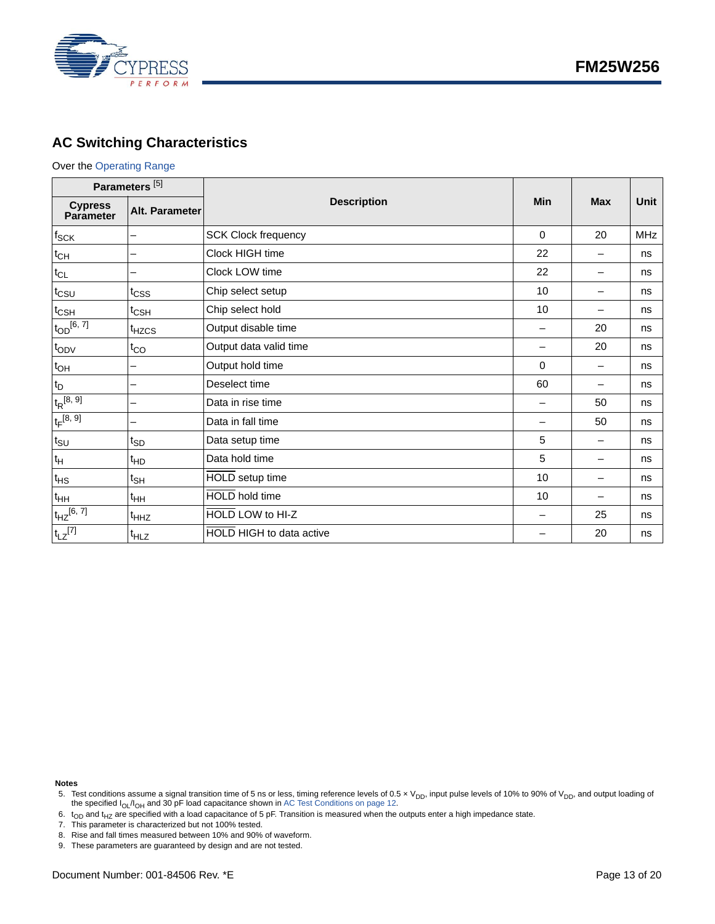

## <span id="page-12-0"></span>**AC Switching Characteristics**

#### Over the [Operating Range](#page-10-1)

| Parameters <sup>[5]</sup>   |                   |                            |             |                          |             |
|-----------------------------|-------------------|----------------------------|-------------|--------------------------|-------------|
| <b>Cypress</b><br>Parameter | Alt. Parameter    | <b>Description</b>         | Min         | <b>Max</b>               | <b>Unit</b> |
| $f_{\mathsf{SCK}}$          |                   | <b>SCK Clock frequency</b> | $\Omega$    | 20                       | <b>MHz</b>  |
| $t_{CH}$                    |                   | Clock HIGH time            | 22          |                          | ns          |
| $t_{CL}$                    |                   | Clock LOW time             | 22          | $\overline{\phantom{0}}$ | ns          |
| $t_{\text{CSU}}$            | t <sub>CSS</sub>  | Chip select setup          | 10          | $\overline{\phantom{0}}$ | ns          |
| $t_{\text{CSH}}$            | $t_{\text{CSH}}$  | Chip select hold           | 10          | —                        | ns          |
| $t_{OD}$ [6, 7]             | t <sub>HZCS</sub> | Output disable time        |             | 20                       | ns          |
| $t_{ODV}$                   | $t_{CO}$          | Output data valid time     |             | 20                       | ns          |
| $t_{OH}$                    |                   | Output hold time           | $\mathbf 0$ | $\overline{\phantom{0}}$ | ns          |
| $t_D$                       |                   | Deselect time              | 60          | —                        | ns          |
| $t_R^{[8, 9]}$              |                   | Data in rise time          |             | 50                       | ns          |
| $t_F^{[8, 9]}$              |                   | Data in fall time          |             | 50                       | ns          |
| $t_{\text{SU}}$             | $t_{SD}$          | Data setup time            | 5           | -                        | ns          |
| $t_H$                       | <sup>t</sup> HD   | Data hold time             | 5           | -                        | ns          |
| $t_{HS}$                    | $t_{\mathsf{SH}}$ | HOLD setup time            | 10          | —                        | ns          |
| $t_{HH}$                    | $t_{HH}$          | <b>HOLD</b> hold time      | 10          | —                        | ns          |
| $t_{HZ}$ [6, 7]             | <sup>t</sup> HHZ  | HOLD LOW to HI-Z           |             | 25                       | ns          |
| $t_{LZ}$ <sup>[7]</sup>     | <sup>t</sup> HLZ  | HOLD HIGH to data active   |             | 20                       | ns          |

**Notes**

- <span id="page-12-3"></span>7. This parameter is characterized but not 100% tested.
- <span id="page-12-4"></span>8. Rise and fall times measured between 10% and 90% of waveform.

<span id="page-12-1"></span><sup>5.</sup> Test conditions assume a signal transition time of 5 ns or less, timing reference levels of 0.5 x V<sub>DD</sub>, input pulse levels of 10% to 90% of V<sub>DD</sub>, and output loading of the specified  $I_{OL}/I_{OH}$  and 30 pF load capacitance shown in [AC Test Conditions on page 12](#page-11-3).

<span id="page-12-2"></span><sup>6.</sup>  $t_{OD}$  and  $t_{HZ}$  are specified with a load capacitance of 5 pF. Transition is measured when the outputs enter a high impedance state.

<span id="page-12-5"></span><sup>9.</sup> These parameters are guaranteed by design and are not tested.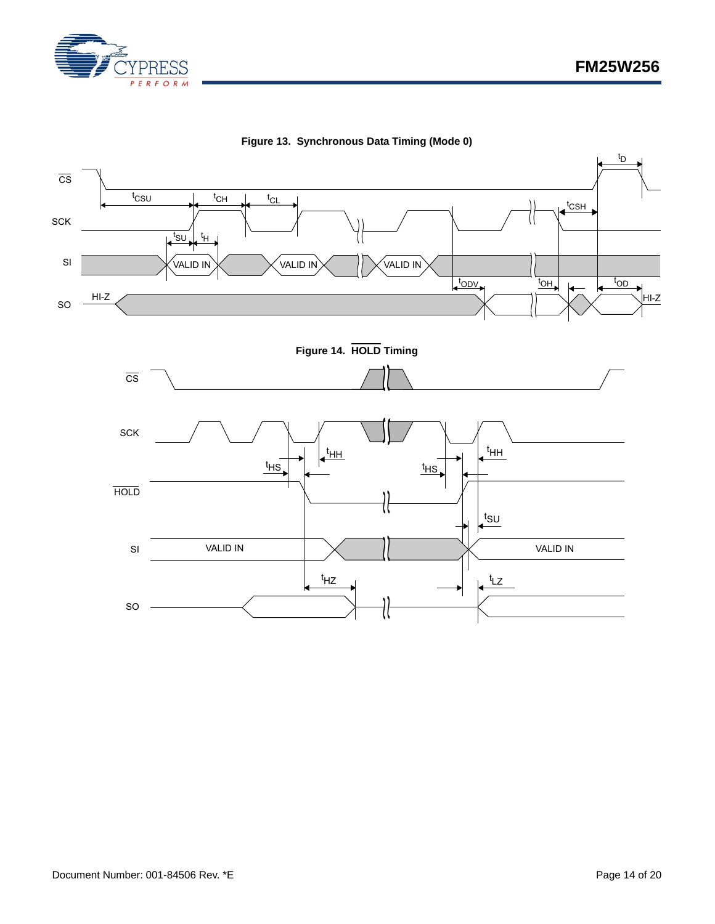



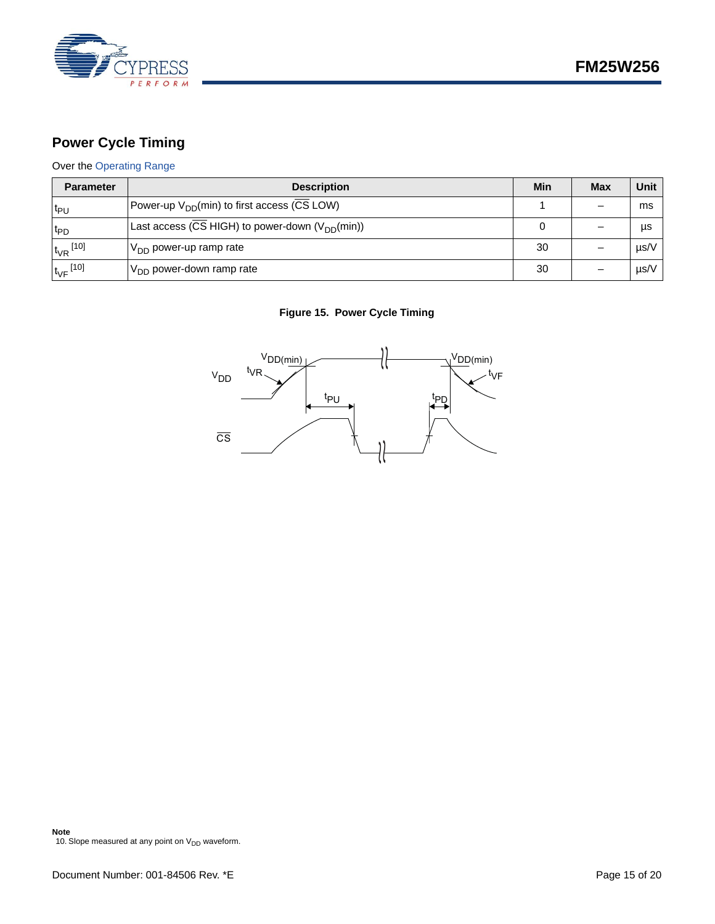

## <span id="page-14-0"></span>**Power Cycle Timing**

## Over the [Operating Range](#page-10-1)

| <b>Parameter</b>         | <b>Description</b>                                      | Min | <b>Max</b> | Unit |
|--------------------------|---------------------------------------------------------|-----|------------|------|
| l <sup>t</sup> P∪        | Power-up V <sub>DD</sub> (min) to first access (CS LOW) |     |            | ms   |
| t <sub>PD</sub>          | Last access (CS HIGH) to power-down $(V_{DD}(min))$     |     |            | μs   |
| $t_{VR}$ <sup>[10]</sup> | $V_{DD}$ power-up ramp rate                             | 30  |            | µs/V |
| $t_{\rm VF}$ [10]        | $V_{DD}$ power-down ramp rate                           | 30  |            | µs/V |

## **Figure 15. Power Cycle Timing**

<span id="page-14-1"></span>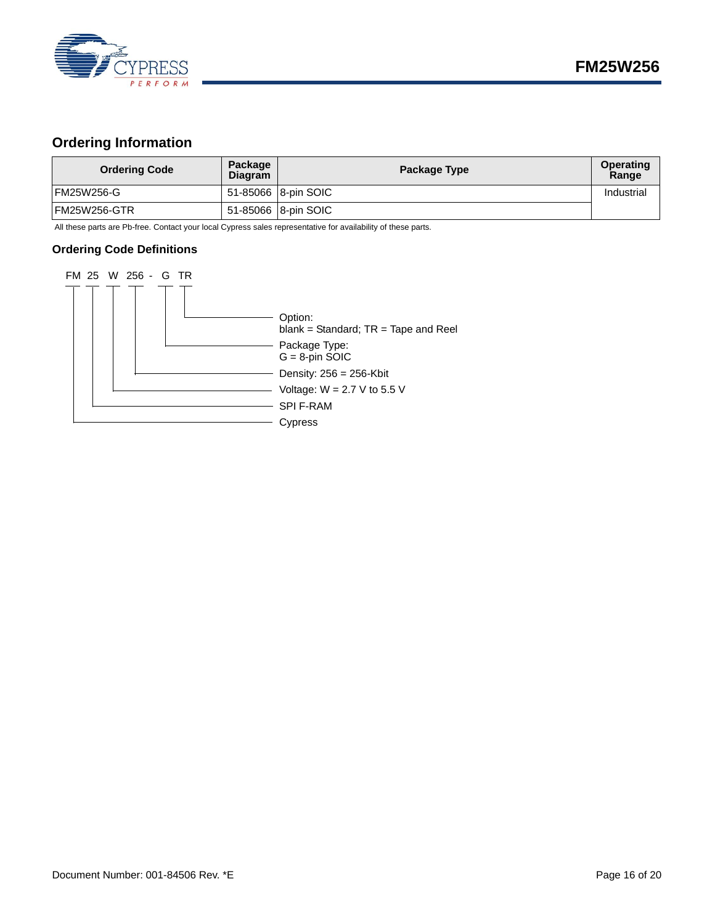

## <span id="page-15-0"></span>**Ordering Information**

| <b>Ordering Code</b> | Package<br><b>Diagram</b> | Package Type        | <b>Operating</b><br>Range |
|----------------------|---------------------------|---------------------|---------------------------|
| FM25W256-G           |                           | 51-85066 8-pin SOIC | Industrial                |
| IFM25W256-GTR        |                           | 51-85066 8-pin SOIC |                           |

All these parts are Pb-free. Contact your local Cypress sales representative for availability of these parts.

#### <span id="page-15-1"></span>**Ordering Code Definitions**

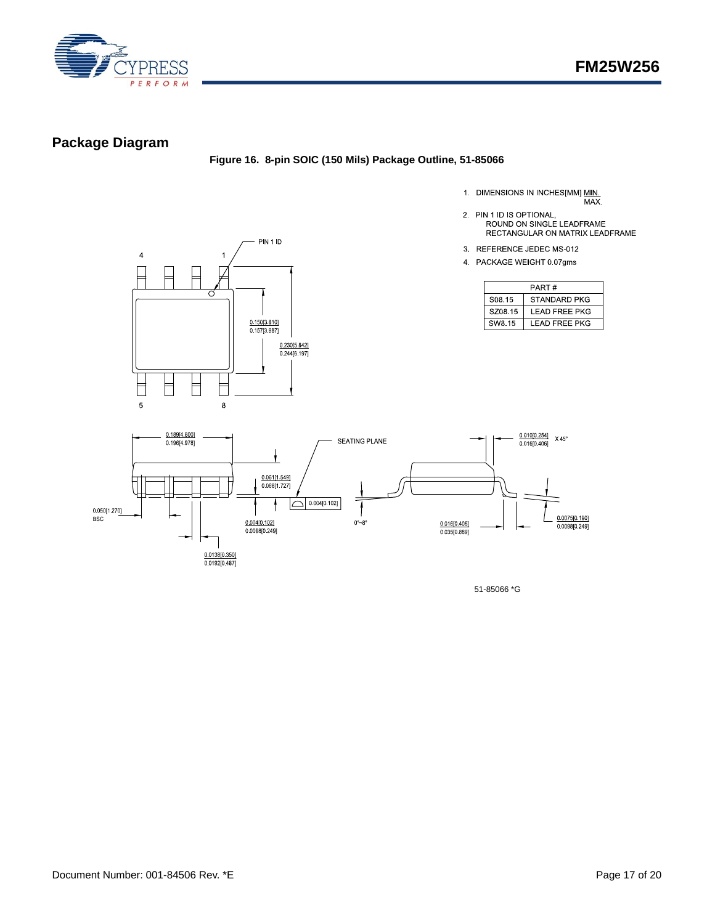

## <span id="page-16-0"></span>**Package Diagram**

#### **Figure 16. 8-pin SOIC (150 Mils) Package Outline, 51-85066**

- 1. DIMENSIONS IN INCHES[MM] MIN.<br>MAX.
- 2. PIN 1 ID IS OPTIONAL,<br>ROUND ON SINGLE LEADFRAME RECTANGULAR ON MATRIX LEADFRAME
- 3. REFERENCE JEDEC MS-012
- 4 PACKAGE WEIGHT 0 07gms

|                    | PART#                |
|--------------------|----------------------|
| S <sub>08</sub> 15 | STANDARD PKG         |
| SZ08.15            | LEAD FREE PKG        |
| SW8.15             | <b>LEAD FREE PKG</b> |





51-85066 \*G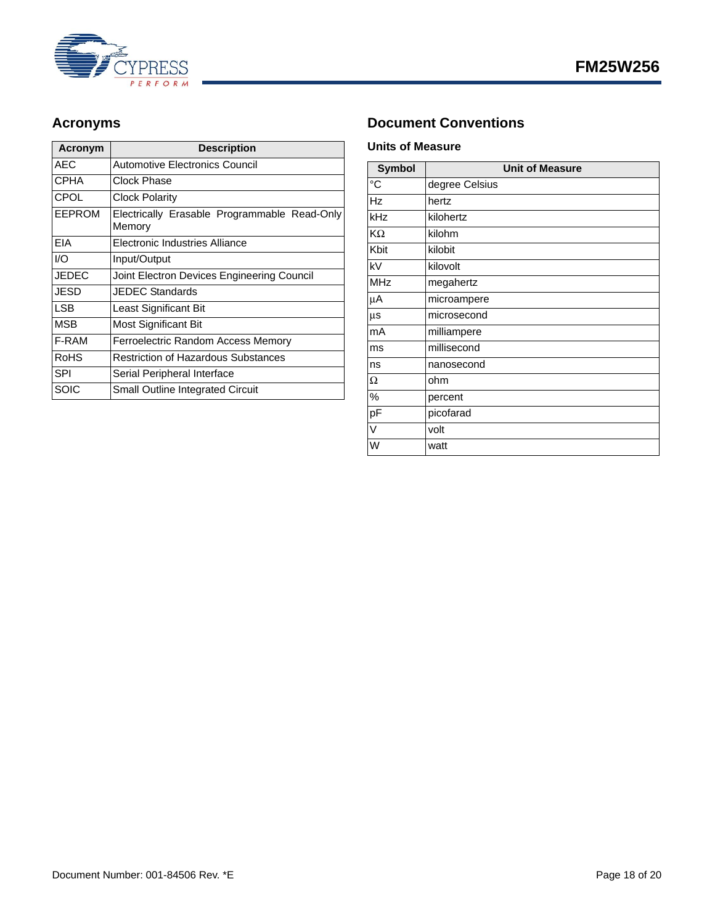

| Acronym       | <b>Description</b>                                     |
|---------------|--------------------------------------------------------|
| <b>AEC</b>    | Automotive Electronics Council                         |
| <b>CPHA</b>   | Clock Phase                                            |
| <b>CPOL</b>   | <b>Clock Polarity</b>                                  |
| <b>EEPROM</b> | Electrically Erasable Programmable Read-Only<br>Memory |
| EIA           | Electronic Industries Alliance                         |
| 1/O           | Input/Output                                           |
| <b>JEDEC</b>  | Joint Electron Devices Engineering Council             |
| JESD          | <b>JEDEC Standards</b>                                 |
| <b>LSB</b>    | Least Significant Bit                                  |
| <b>MSB</b>    | Most Significant Bit                                   |
| F-RAM         | Ferroelectric Random Access Memory                     |
| RoHS          | <b>Restriction of Hazardous Substances</b>             |
| <b>SPI</b>    | Serial Peripheral Interface                            |
| SOIC          | Small Outline Integrated Circuit                       |

## <span id="page-17-0"></span>Acronyms **Document Conventions**

### <span id="page-17-2"></span><span id="page-17-1"></span>**Units of Measure**

| <b>Symbol</b> | <b>Unit of Measure</b> |
|---------------|------------------------|
| °C            | degree Celsius         |
| <b>Hz</b>     | hertz                  |
| kHz           | kilohertz              |
| ΚΩ            | kilohm                 |
| Kbit          | kilobit                |
| kV            | kilovolt               |
| <b>MHz</b>    | megahertz              |
| μA            | microampere            |
| μs            | microsecond            |
| mA            | milliampere            |
| ms            | millisecond            |
| ns            | nanosecond             |
| Ω             | ohm                    |
| %             | percent                |
| pF            | picofarad              |
| V             | volt                   |
| W             | watt                   |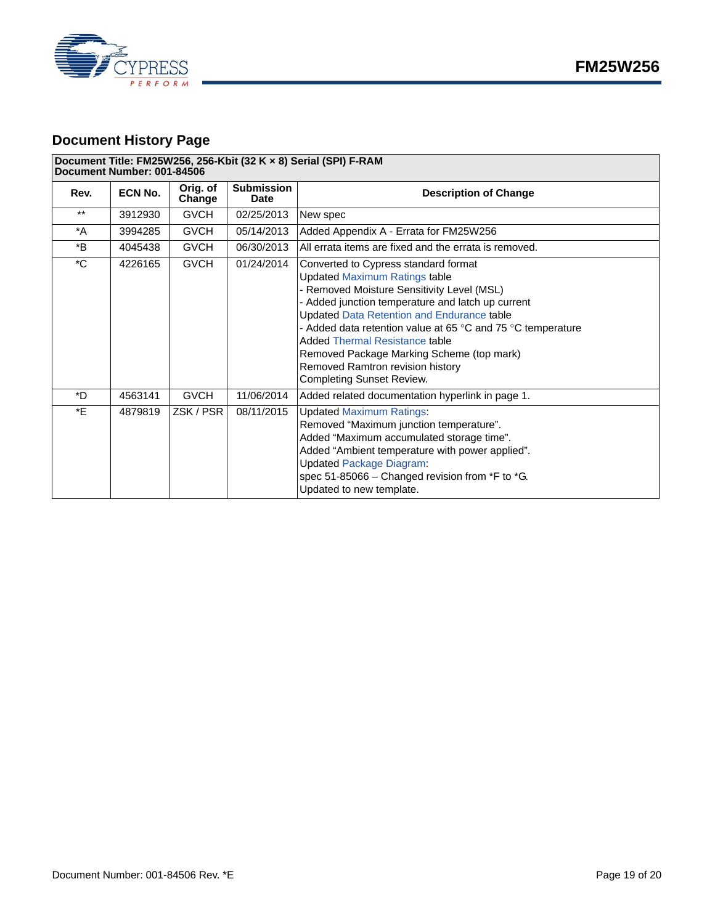

## <span id="page-18-0"></span>**Document History Page**

#### **Document Title: FM25W256, 256-Kbit (32 K × 8) Serial (SPI) F-RAM**

| Document Number: 001-84506 |                |                    |                                  |                                                                                                                                                                                                                                                                                                                                                                                                                                                                              |  |
|----------------------------|----------------|--------------------|----------------------------------|------------------------------------------------------------------------------------------------------------------------------------------------------------------------------------------------------------------------------------------------------------------------------------------------------------------------------------------------------------------------------------------------------------------------------------------------------------------------------|--|
| Rev.                       | <b>ECN No.</b> | Orig. of<br>Change | <b>Submission</b><br><b>Date</b> | <b>Description of Change</b>                                                                                                                                                                                                                                                                                                                                                                                                                                                 |  |
| $***$                      | 3912930        | <b>GVCH</b>        | 02/25/2013                       | New spec                                                                                                                                                                                                                                                                                                                                                                                                                                                                     |  |
| *A                         | 3994285        | <b>GVCH</b>        | 05/14/2013                       | Added Appendix A - Errata for FM25W256                                                                                                                                                                                                                                                                                                                                                                                                                                       |  |
| *B                         | 4045438        | <b>GVCH</b>        | 06/30/2013                       | All errata items are fixed and the errata is removed.                                                                                                                                                                                                                                                                                                                                                                                                                        |  |
| $^{\ast}$ C                | 4226165        | <b>GVCH</b>        | 01/24/2014                       | Converted to Cypress standard format<br><b>Updated Maximum Ratings table</b><br>- Removed Moisture Sensitivity Level (MSL)<br>- Added junction temperature and latch up current<br><b>Updated Data Retention and Endurance table</b><br>- Added data retention value at 65 $\degree$ C and 75 $\degree$ C temperature<br>Added Thermal Resistance table<br>Removed Package Marking Scheme (top mark)<br>Removed Ramtron revision history<br><b>Completing Sunset Review.</b> |  |
| *D                         | 4563141        | <b>GVCH</b>        | 11/06/2014                       | Added related documentation hyperlink in page 1.                                                                                                                                                                                                                                                                                                                                                                                                                             |  |
| *E                         | 4879819        | ZSK / PSR          | 08/11/2015                       | <b>Updated Maximum Ratings:</b><br>Removed "Maximum junction temperature".<br>Added "Maximum accumulated storage time".<br>Added "Ambient temperature with power applied".<br><b>Updated Package Diagram:</b><br>spec 51-85066 - Changed revision from *F to *G.<br>Updated to new template.                                                                                                                                                                                 |  |